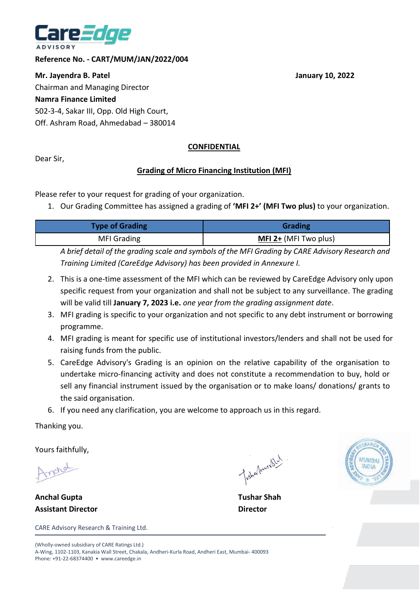

**Reference No. - CART/MUM/JAN/2022/004**

**Mr. Jayendra B. Patel Contract Contract Contract Contract Contract Contract Contract Contract Contract Contract Contract Contract Contract Contract Contract Contract Contract Contract Contract Contract Contract Contract C** Chairman and Managing Director **Namra Finance Limited** 502-3-4, Sakar III, Opp. Old High Court, Off. Ashram Road, Ahmedabad – 380014

## **CONFIDENTIAL**

Dear Sir,

## **Grading of Micro Financing Institution (MFI)**

Please refer to your request for grading of your organization.

1. Our Grading Committee has assigned a grading of **'MFI 2+' (MFI Two plus)** to your organization.

| <b>Type of Grading</b> | <b>Grading</b>        |
|------------------------|-----------------------|
| <b>MFI Grading</b>     | MFI 2+ (MFI Two plus) |

*A brief detail of the grading scale and symbols of the MFI Grading by CARE Advisory Research and Training Limited (CareEdge Advisory) has been provided in Annexure I.*

- 2. This is a one-time assessment of the MFI which can be reviewed by CareEdge Advisory only upon specific request from your organization and shall not be subject to any surveillance. The grading will be valid till **January 7, 2023 i.e.** *one year from the grading assignment date*.
- 3. MFI grading is specific to your organization and not specific to any debt instrument or borrowing programme.
- 4. MFI grading is meant for specific use of institutional investors/lenders and shall not be used for raising funds from the public.
- 5. CareEdge Advisory's Grading is an opinion on the relative capability of the organisation to undertake micro-financing activity and does not constitute a recommendation to buy, hold or sell any financial instrument issued by the organisation or to make loans/ donations/ grants to the said organisation.
- 6. If you need any clarification, you are welcome to approach us in this regard.

Thanking you.

Yours faithfully,

metal

**Anchal Gupta Tushar Shah Assistant Director Director**

CARE Advisory Research & Training Ltd.

Tishalanashed



(Wholly-owned subsidiary of CARE Ratings Ltd.) A-Wing, 1102-1103, Kanakia Wall Street, Chakala, Andheri-Kurla Road, Andheri East, Mumbai- 400093 Phone: +91-22-68374400 • www.careedge.in